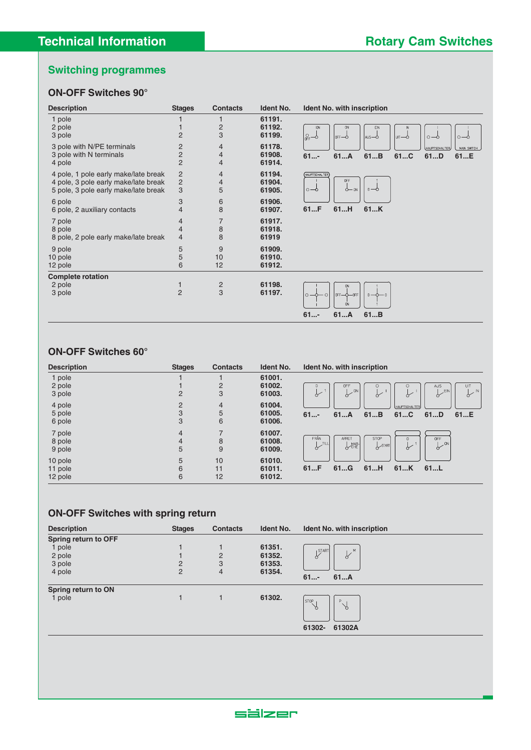## **ON-OFF Switches 90°**

| <b>Description</b>                                                                                                   | <b>Stages</b>                                      | <b>Contacts</b>                                    | <b>Ident No.</b>           | <b>Ident No. with inscription</b>                                                                                         |
|----------------------------------------------------------------------------------------------------------------------|----------------------------------------------------|----------------------------------------------------|----------------------------|---------------------------------------------------------------------------------------------------------------------------|
| 1 pole<br>2 pole<br>3 pole                                                                                           | $\overline{2}$                                     | $\overline{c}$<br>3                                | 61191.<br>61192.<br>61199. | <b>ION</b><br>EIN<br><b>ON</b><br>$\mathbb{S}^{-\gamma}$<br>loFF—ò<br>laus—o<br>$\circ -\circ$<br>$\circ -\circ$<br>luπ—ò |
| 3 pole with N/PE terminals<br>3 pole with N terminals<br>4 pole                                                      | $\overline{2}$<br>$\overline{2}$<br>$\overline{2}$ | $\overline{4}$<br>$\overline{4}$<br>$\overline{4}$ | 61178.<br>61908.<br>61914. | HAUPTSCHALTER<br>MAIN SWITCH<br>61A<br>61B<br>61C<br>$61$ -<br>61D<br>61E                                                 |
| 4 pole, 1 pole early make/late break<br>4 pole, 3 pole early make/late break<br>5 pole, 3 pole early make/late break | $\overline{c}$<br>2<br>3                           | $\overline{4}$<br>4<br>5                           | 61194.<br>61904.<br>61905. | HAUPTSCHALTER<br><b>OFF</b><br>$0 - 0$<br>$\circ -\circ$<br>$Q - QN$                                                      |
| 6 pole<br>6 pole, 2 auxiliary contacts                                                                               | 3<br>4                                             | 6<br>8                                             | 61906.<br>61907.           | 61H<br>61K<br>61F                                                                                                         |
| 7 pole<br>8 pole<br>8 pole, 2 pole early make/late break                                                             | $\overline{4}$<br>$\overline{4}$<br>4              | 7<br>8<br>8                                        | 61917.<br>61918.<br>61919  |                                                                                                                           |
| 9 pole<br>10 pole<br>12 pole                                                                                         | 5<br>5<br>6                                        | 9<br>10<br>12                                      | 61909.<br>61910.<br>61912. |                                                                                                                           |
| <b>Complete rotation</b><br>2 pole<br>3 pole                                                                         | 1<br>$\overline{c}$                                | $\overline{c}$<br>3                                | 61198.<br>61197.           | <b>ON</b><br>loFF-0-OFF<br>$\circ$ - $\circ$<br>$\circ$<br>$0 - 0 - 0$<br><b>ON</b><br>61A<br>61B<br>$61$ -               |

### **ON-OFF Switches 60°**

| <b>Description</b> | <b>Stages</b> | <b>Contacts</b> | <b>Ident No.</b> | <b>Ident No. with inscription</b>                                                       |
|--------------------|---------------|-----------------|------------------|-----------------------------------------------------------------------------------------|
| 1 pole             |               |                 | 61001.           |                                                                                         |
| 2 pole             |               | $\overline{2}$  | 61002.           | <b>OFF</b><br>$\circ$<br>UIT<br>AUS<br>0                                                |
| 3 pole             | 2             | 3               | 61003.           | 801<br><b>EIN</b><br>$\sim$ IN<br>$\overline{\mathbf{r}}$<br>$\sigma$<br>$\sigma$<br>α  |
| 4 pole             | 2             | $\overline{4}$  | 61004.           | HAUPTSCHALTER,                                                                          |
| 5 pole             | 3             | 5               | 61005.           | 61C<br>$61$ -<br>61A<br>61B<br>61D<br>61E                                               |
| 6 pole             | 3             | 6               | 61006.           |                                                                                         |
| 7 pole             | 4             |                 | 61007.           |                                                                                         |
| 8 pole             | 4             | 8               | 61008.           | FRÅN<br><b>ARRET</b><br>STOP<br><b>OFF</b><br>l ∠™                                      |
| 9 pole             | 5             | 9               | 61009.           | $6 - 8$<br>$\sqrt{\text{CHE}}$<br>$\sqrt{\frac{1}{2}}$<br>$\overline{\mathcal{C}}$<br>♂ |
| 10 pole            | 5             | 10              | 61010.           |                                                                                         |
| 11 pole            | 6             | 11              | 61011.           | 61G<br>61H<br>61K<br>61F<br>61L                                                         |
| 12 pole            | 6             | 12              | 61012.           |                                                                                         |

## **ON-OFF Switches with spring return**

| <b>Description</b>          | <b>Stages</b> | <b>Contacts</b> | Ident No. | Ident No. with inscription          |
|-----------------------------|---------------|-----------------|-----------|-------------------------------------|
| <b>Spring return to OFF</b> |               |                 |           |                                     |
| 1 pole                      |               |                 | 61351.    | М                                   |
| 2 pole                      |               | $\overline{2}$  | 61352.    | <sup>START</sup><br>$\sqrt{ }$<br>♂ |
| 3 pole                      | 2             | 3               | 61353.    |                                     |
| 4 pole                      | 2             | $\overline{4}$  | 61354.    |                                     |
|                             |               |                 |           | $61$ -<br>61A                       |
| Spring return to ON         |               |                 |           |                                     |
| 1 pole                      |               |                 | 61302.    | STOP<br>P                           |
|                             |               |                 |           | $\lambda$<br>R                      |
|                             |               |                 |           |                                     |
|                             |               |                 |           |                                     |
|                             |               |                 |           | 61302A<br>61302-                    |
|                             |               |                 |           |                                     |

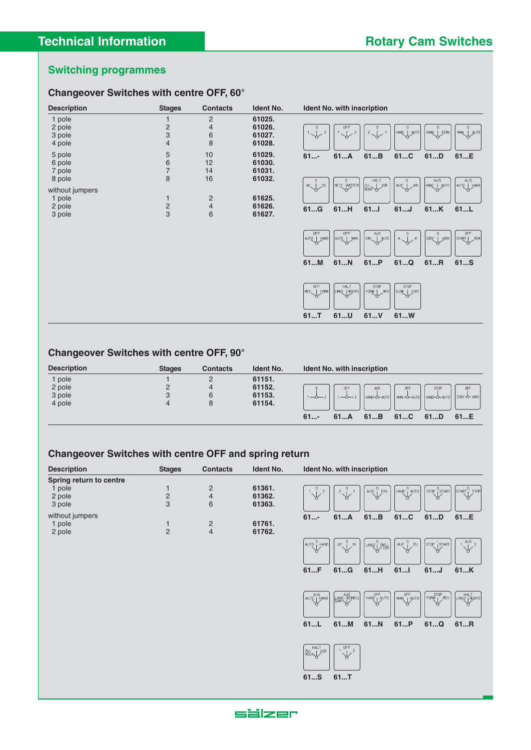## **Changeover Switches with centre OFF, 60°**

| <b>Description</b>                            | <b>Stages</b>                                       | <b>Contacts</b>                                         | <b>Ident No.</b>                     | Ident No. with inscription                                                                                                                                                                                                                                                                              |
|-----------------------------------------------|-----------------------------------------------------|---------------------------------------------------------|--------------------------------------|---------------------------------------------------------------------------------------------------------------------------------------------------------------------------------------------------------------------------------------------------------------------------------------------------------|
| 1 pole<br>2 pole<br>3 pole<br>4 pole          | $\frac{2}{3}$<br>$\overline{4}$                     | $\mathbf{2}$<br>$\overline{4}$<br>$\boldsymbol{6}$<br>8 | 61025.<br>61026.<br>61027.<br>61028. | $1\sqrt{$<br>$2\begin{array}{c} 0 \\ 2\end{array}$<br>$\begin{bmatrix} 0 \\ HANQ &   & \text{JUT}0 \end{bmatrix}$<br>$\begin{smallmatrix} & & & 0 \\ & 1 & & \\ & & & \end{smallmatrix}$<br>$\begin{bmatrix} 0 \\ HANQ \end{bmatrix}$ FERN<br>  0<br>  man_  auto  <br>$\overline{2}$<br>$\overline{2}$ |
| 5 pole<br>6 pole<br>7 pole<br>8 pole          | $\sqrt{5}$<br>$\overline{6}$<br>$\overline{7}$<br>8 | 10<br>12<br>14<br>16                                    | 61029.<br>61030.<br>61031.<br>61032. | 61C<br>61B<br>61D<br>61A<br>$61$ -<br>61E<br>$\mathsf{A}\mathsf{U}\mathsf{S}$<br>HALT<br>$HANQ$ $MSTQ$<br>NETZ NOTSTR<br>$\begin{bmatrix} 0 \\ A \cup \begin{bmatrix} 1 \\ C \end{bmatrix} \end{bmatrix}$<br>$AC \rightarrow 0$<br>$_{DC}$<br>AB<br><b>yor</b><br>AUTO HAND<br><b>ZU-</b>               |
| without jumpers<br>1 pole<br>2 pole<br>3 pole | $\mathbf{1}$<br>$\frac{2}{3}$                       | $\overline{c}$<br>$\overline{4}$<br>6                   | 61625.<br>61626.<br>61627.           | 61H<br>61<br>61.K<br>61G<br>$61$ J<br>61L                                                                                                                                                                                                                                                               |
|                                               |                                                     |                                                         |                                      | <b>OFF</b><br>OFF<br><b>OFF</b><br>AUS<br>$A \begin{matrix} 0 \\ 1 \end{matrix}$<br>$\circ$<br>$\mathsf K$<br>$strap$ $RUN$<br>$EN2$   $AUTO$<br>AUTO   MAN<br>230Y   400V<br>AUTO HAND                                                                                                                 |
|                                               |                                                     |                                                         |                                      | 61P<br>61Q<br>61R<br>61M<br>61N<br>61S                                                                                                                                                                                                                                                                  |
|                                               |                                                     |                                                         |                                      | STOP<br>STOP<br>OFF<br><b>HALT</b><br>REV FORW<br>LINKS   RECHTS<br>FORW   REV<br>$x \sim \frac{1}{2}$<br>61U<br>61V<br>61W<br>61T                                                                                                                                                                      |

## **Changeover Switches with centre OFF, 90°**

| <b>Description</b> | <b>Stages</b> | <b>Contacts</b> | <b>Ident No.</b> | <b>Ident No. with inscription</b>                                      |
|--------------------|---------------|-----------------|------------------|------------------------------------------------------------------------|
| pole               |               |                 | 61151.           |                                                                        |
| 2 pole             |               | 4               | 61152.           | <b>OFF</b><br>AUS<br><b>OFF</b><br><b>OFF</b>                          |
| 3 pole             |               |                 | 61153.           | HAND-O-AUTO    MAN-O-AUTO    HAND-O-AUTO    230V-O-460V   <br>$\sim$ 2 |
| 4 pole             | 4             |                 | 61154.           |                                                                        |
|                    |               |                 |                  | $61$ -<br>61B<br>61C<br>61D<br>61E<br>61A                              |

## **Changeover Switches with centre OFF and spring return**

| <b>Description</b>             | <b>Stages</b>  | <b>Contacts</b> | <b>Ident No.</b> | <b>Ident No. with inscription</b>                                                                                             |
|--------------------------------|----------------|-----------------|------------------|-------------------------------------------------------------------------------------------------------------------------------|
| <b>Spring return to centre</b> |                |                 |                  |                                                                                                                               |
| 1 pole                         |                | 2               | 61361.           | $HAND$ <sub>1</sub> AUTO<br>$ $ STOP $ $ START<br>$ $ START $ $ STOP $ $<br>AUS                                               |
| 2 pole                         | 0              | 4               | 61362.           | $\frac{8}{1}$ EIN<br>₩                                                                                                        |
| 3 pole                         | 3              | 6               | 61363.           |                                                                                                                               |
| without jumpers                |                |                 |                  | $61$ -<br>61C<br>61B<br>61D<br>61A<br>61E                                                                                     |
| 1 pole                         |                | 2               | 61761.           |                                                                                                                               |
| 2 pole                         | $\overline{2}$ | 4               | 61762.           |                                                                                                                               |
|                                |                |                 |                  | AUS<br>AUF<br>$\int_{1}^{6}$ ZU<br>$ $ STOP $ $ START<br>AUTO <sub>I</sub><br><b>HAND</b><br>UT<br>$\mathbb{N}$<br>LANGZ SNEL |



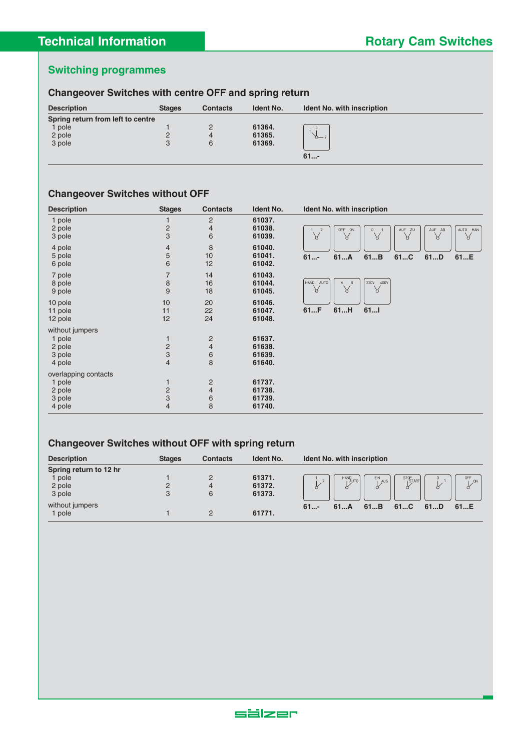## **Changeover Switches with centre OFF and spring return**

| <b>Description</b>                | <b>Stages</b> | <b>Contacts</b> | <b>Ident No.</b> | <b>Ident No. with inscription</b> |
|-----------------------------------|---------------|-----------------|------------------|-----------------------------------|
| Spring return from left to centre |               |                 |                  |                                   |
| pole                              |               |                 | 61364.           |                                   |
| 2 pole                            | ⊂             | 4               | 61365.           | $0 - 2$                           |
| 3 pole                            | 3             | 6               | 61369.           |                                   |
|                                   |               |                 |                  | $61$ -                            |

## **Changeover Switches without OFF**

| <b>Description</b>                                           | <b>Stages</b>                                         | <b>Contacts</b>                                | Ident No.                            | <b>Ident No. with inscription</b>                                                                                            |
|--------------------------------------------------------------|-------------------------------------------------------|------------------------------------------------|--------------------------------------|------------------------------------------------------------------------------------------------------------------------------|
| 1 pole<br>2 pole<br>3 pole                                   | $\overline{\mathbf{c}}$<br>3                          | $\mathbf{2}$<br>$\overline{4}$<br>6            | 61037.<br>61038.<br>61039.           | AUF ZU<br>AUF AB<br>AUTO MAN<br>$\overline{z}$<br>OFF ON<br>$\mathsf{O}\xspace$<br>$\sqrt{}$<br>$\vee$<br>प्त<br>୪<br>୪<br>୪ |
| 4 pole<br>5 pole<br>6 pole                                   | 4<br>5<br>6                                           | 8<br>10<br>12                                  | 61040.<br>61041.<br>61042.           | 61B<br>61C<br>$61$ -<br>61A<br>61D<br>61E                                                                                    |
| 7 pole<br>8 pole<br>9 pole                                   | 7<br>$\,8\,$<br>9                                     | 14<br>16<br>18                                 | 61043.<br>61044.<br>61045.           | 230V<br>400V<br>HAND<br>AUTO<br>$\mathsf B$<br>Χ<br>₩<br>Χ                                                                   |
| 10 pole<br>11 pole<br>12 pole                                | 10<br>11<br>12                                        | 20<br>22<br>24                                 | 61046.<br>61047.<br>61048.           | 61H<br>611<br>61F                                                                                                            |
| without jumpers<br>1 pole<br>2 pole<br>3 pole<br>4 pole      | $\mathbf{1}$<br>$\overline{c}$<br>3<br>$\overline{4}$ | $\overline{c}$<br>$\overline{4}$<br>$6\,$<br>8 | 61637.<br>61638.<br>61639.<br>61640. |                                                                                                                              |
| overlapping contacts<br>1 pole<br>2 pole<br>3 pole<br>4 pole | $\mathbf{1}$<br>$\frac{2}{3}$<br>$\overline{4}$       | $\overline{c}$<br>$\overline{4}$<br>$6\,$<br>8 | 61737.<br>61738.<br>61739.<br>61740. |                                                                                                                              |

## **Changeover Switches without OFF with spring return**

| <b>Description</b>     | <b>Stages</b> | <b>Contacts</b> | <b>Ident No.</b> | <b>Ident No. with inscription</b>                                |
|------------------------|---------------|-----------------|------------------|------------------------------------------------------------------|
| Spring return to 12 hr |               |                 |                  |                                                                  |
| pole                   |               |                 | 61371.           | <b>OFF</b><br>$STOP$ $START$<br>HAND<br>AUTO<br>EIN<br>AUS<br>ON |
| 2 pole                 | 2             | 4               | 61372.           |                                                                  |
| 3 pole                 | 3             | 6               | 61373.           |                                                                  |
| without jumpers        |               |                 |                  | $61$ -<br>61C<br>61B<br>61D<br>61E<br>61A                        |
| pole                   |               | C               | 61771.           |                                                                  |

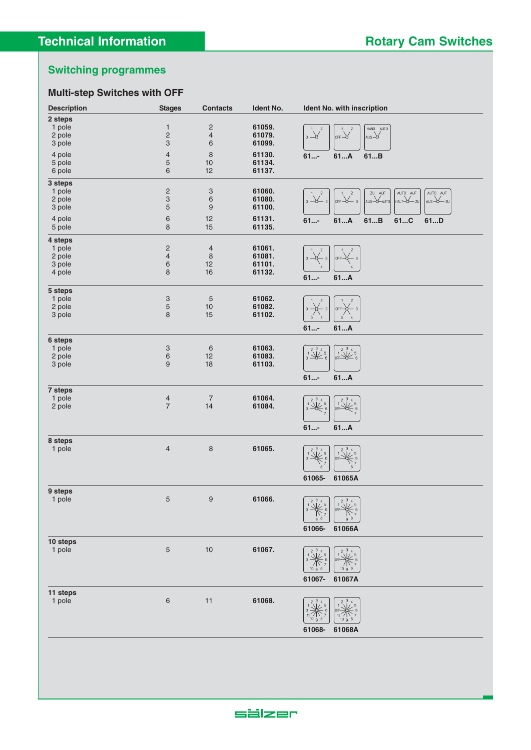## **Multi-step Switches with OFF**

| <b>Description</b> | <b>Stages</b>                             | <b>Contacts</b>           | Ident No.        | Ident No. with inscription                                                                                                                                                                     |
|--------------------|-------------------------------------------|---------------------------|------------------|------------------------------------------------------------------------------------------------------------------------------------------------------------------------------------------------|
| 2 steps            |                                           |                           |                  |                                                                                                                                                                                                |
| 1 pole             | $\mathbf{1}$                              | 2                         | 61059.           | HAND AUTO<br>$\sqrt{2}$<br>$\mathbf{Z}$                                                                                                                                                        |
| 2 pole             | $\sqrt{2}$                                | 4                         | 61079.           | $\sum_{\alpha=0}^{1}$<br>$_{\text{AMS}}\rightarrow$<br>$\overline{\phantom{a}}$ of F $\overline{\phantom{a}}$                                                                                  |
| 3 pole             | $\ensuremath{\mathsf{3}}$                 | 6                         | 61099.           |                                                                                                                                                                                                |
| 4 pole             | $\overline{4}$                            | $\,8\,$                   | 61130.           | 61A<br>$61$ -<br>61B                                                                                                                                                                           |
| 5 pole             | 5                                         | 10                        | 61134.           |                                                                                                                                                                                                |
| 6 pole             | 6                                         | 12                        | 61137.           |                                                                                                                                                                                                |
| 3 steps            |                                           |                           |                  |                                                                                                                                                                                                |
| 1 pole             | $\overline{c}$                            | 3                         | 61060.           | AUTO AUF<br>AUTO AUF<br>ZU AUF<br>$\sqrt{2}$<br>$\mathbf{Z}$                                                                                                                                   |
| 2 pole             | $\ensuremath{\mathsf{3}}$                 | 6                         | 61080.           | $_0 \rightarrow \hspace{-6pt} \rightarrow$ 3<br>$or F \rightarrow 3$<br>AUS-O-AUTO<br>$HALT-\times ZU$<br>$\overline{\phantom{aa}}$ AUS $\overline{\phantom{aa}}$ $\overline{\phantom{aa}}$ ZU |
| 3 pole             | 5                                         | 9                         | 61100.           |                                                                                                                                                                                                |
| 4 pole             | $\,6$                                     | 12                        | 61131.           | 61A<br>61B<br>61C<br>61D<br>$61$ -                                                                                                                                                             |
| 5 pole             | 8                                         | 15                        | 61135.           |                                                                                                                                                                                                |
|                    |                                           |                           |                  |                                                                                                                                                                                                |
| 4 steps            |                                           |                           |                  |                                                                                                                                                                                                |
| 1 pole             | $\overline{\mathbf{c}}$<br>$\overline{4}$ | $\overline{4}$<br>$\,8\,$ | 61061.<br>61081. | $\overline{2}$<br>2                                                                                                                                                                            |
| 2 pole<br>3 pole   | $\,6$                                     | 12                        | 61101.           | $0 -$<br>OFF-<br>- 3                                                                                                                                                                           |
| 4 pole             | 8                                         | 16                        | 61132.           |                                                                                                                                                                                                |
|                    |                                           |                           |                  | $61$ -<br>61A                                                                                                                                                                                  |
| 5 steps            |                                           |                           |                  |                                                                                                                                                                                                |
| 1 pole             | 3                                         | 5                         | 61062.           |                                                                                                                                                                                                |
| 2 pole             | 5                                         | 10                        | 61082.           | $0 -$<br>OFF-                                                                                                                                                                                  |
| 3 pole             | 8                                         | 15                        | 61102.           | $5^{\circ}$<br>5                                                                                                                                                                               |
|                    |                                           |                           |                  | $61$ -<br>61A                                                                                                                                                                                  |
|                    |                                           |                           |                  |                                                                                                                                                                                                |
| 6 steps            |                                           |                           |                  |                                                                                                                                                                                                |
| 1 pole             | 3                                         | $\,6$                     | 61063.           | $\begin{array}{c} 234 \\ 1 \ \end{array}$<br>$\begin{array}{ccc} 2 & 3 & 4 \\ 1 & 5 & 6 \\ 0 & 6 & 2 \end{array}$                                                                              |
| 2 pole             | $\,6$<br>9                                | 12<br>18                  | 61083.           |                                                                                                                                                                                                |
| 3 pole             |                                           |                           | 61103.           |                                                                                                                                                                                                |
|                    |                                           |                           |                  | $61$ -<br>61A                                                                                                                                                                                  |
| 7 steps            |                                           |                           |                  |                                                                                                                                                                                                |
| 1 pole             | $\overline{4}$                            | $\overline{7}$            | 61064.           | $2^{3}$                                                                                                                                                                                        |
| 2 pole             | $\sqrt{ }$                                | 14                        | 61084.           | $\begin{array}{c} 2 \ 3 \ 4 \ 0 \end{array}$<br>$\sqrt{\frac{1}{\text{OFF}}\mathcal{L}}$ $\frac{5}{6}$                                                                                         |
|                    |                                           |                           |                  |                                                                                                                                                                                                |
|                    |                                           |                           |                  | $61$ -<br>61A                                                                                                                                                                                  |
|                    |                                           |                           |                  |                                                                                                                                                                                                |
| 8 steps            | $\overline{4}$                            |                           | 61065.           |                                                                                                                                                                                                |
| 1 pole             |                                           | $\,8\,$                   |                  | $2^{3}4$<br>3<br>$\overline{2}$<br>$\sqrt[3]{*}$<br>OFF-                                                                                                                                       |
|                    |                                           |                           |                  | -6                                                                                                                                                                                             |
|                    |                                           |                           |                  |                                                                                                                                                                                                |
|                    |                                           |                           |                  | 61065-<br>61065A                                                                                                                                                                               |
| 9 steps            |                                           |                           |                  |                                                                                                                                                                                                |
| $1$ pole           | 5                                         | 9                         | 61066.           | $2^3$ 4 $\begin{bmatrix} 2^3 & 4 \end{bmatrix}$                                                                                                                                                |
|                    |                                           |                           |                  | O                                                                                                                                                                                              |
|                    |                                           |                           |                  | $\delta$                                                                                                                                                                                       |
|                    |                                           |                           |                  | 61066-<br>61066A                                                                                                                                                                               |
|                    |                                           |                           |                  |                                                                                                                                                                                                |
| 10 steps<br>1 pole | $\sqrt{5}$                                | $10$                      | 61067.           | 3                                                                                                                                                                                              |
|                    |                                           |                           |                  |                                                                                                                                                                                                |
|                    |                                           |                           |                  |                                                                                                                                                                                                |
|                    |                                           |                           |                  | $10 \t{9} \t{8}$<br>10 <sub>9</sub>                                                                                                                                                            |
|                    |                                           |                           |                  | 61067-<br>61067A                                                                                                                                                                               |
| 11 steps           |                                           |                           |                  |                                                                                                                                                                                                |
| 1 pole             | $\,6\,$                                   | 11                        | 61068.           | $2^{3}$<br>3                                                                                                                                                                                   |
|                    |                                           |                           |                  |                                                                                                                                                                                                |
|                    |                                           |                           |                  | 10a<br>10 a                                                                                                                                                                                    |
|                    |                                           |                           |                  | 61068-<br>61068A                                                                                                                                                                               |
|                    |                                           |                           |                  |                                                                                                                                                                                                |

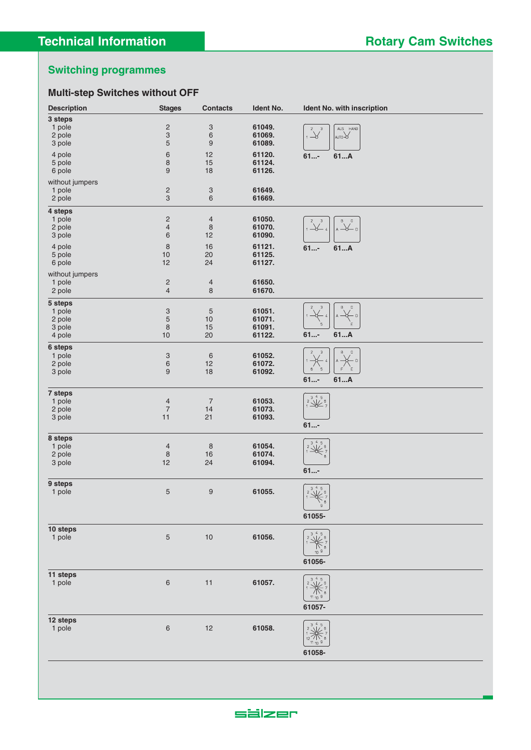## **Multi-step Switches without OFF**

| <b>Description</b> | <b>Stages</b>                    | <b>Contacts</b>                         | Ident No.        | Ident No. with inscription                                                                                               |
|--------------------|----------------------------------|-----------------------------------------|------------------|--------------------------------------------------------------------------------------------------------------------------|
| 3 steps            |                                  |                                         |                  |                                                                                                                          |
| 1 pole             | $\overline{\mathbf{c}}$          | $\ensuremath{\mathsf{3}}$               | 61049.           | AUS HAND                                                                                                                 |
| 2 pole             | $\ensuremath{\mathsf{3}}$        | $\,6$                                   | 61069.           | $\frac{2}{1}$ $\frac{3}{1}$<br>AUTO-O                                                                                    |
| 3 pole             | 5                                | $\boldsymbol{9}$                        | 61089.           |                                                                                                                          |
| 4 pole             | $\,$ 6 $\,$                      | 12                                      | 61120.           | 61A<br>$61$ -                                                                                                            |
| 5 pole             | 8                                | 15                                      | 61124.           |                                                                                                                          |
| 6 pole             | $9\,$                            | 18                                      | 61126.           |                                                                                                                          |
| without jumpers    |                                  |                                         |                  |                                                                                                                          |
| 1 pole             | $\overline{c}$                   | $\ensuremath{\mathsf{3}}$               | 61649.           |                                                                                                                          |
| 2 pole             | $\ensuremath{\mathsf{3}}$        | $\,$ 6 $\,$                             | 61669.           |                                                                                                                          |
|                    |                                  |                                         |                  |                                                                                                                          |
| 4 steps            |                                  |                                         |                  |                                                                                                                          |
| 1 pole             | $\overline{c}$<br>$\overline{4}$ | $\overline{\mathcal{L}}$<br>$\,$ 8 $\,$ | 61050.<br>61070. | B<br>$\mathtt{C}$<br>$1\frac{2}{1}$ $\frac{3}{4}$<br>$\overline{A}$ $\overline{\mathcal{A}}$ $\overline{D}$              |
| 2 pole             | 6                                | 12                                      | 61090.           |                                                                                                                          |
| 3 pole             |                                  |                                         |                  |                                                                                                                          |
| 4 pole             | $\,8\,$                          | 16                                      | 61121.           | 61A<br>$61$ -                                                                                                            |
| 5 pole             | 10                               | 20                                      | 61125.           |                                                                                                                          |
| 6 pole             | 12                               | 24                                      | 61127.           |                                                                                                                          |
| without jumpers    |                                  |                                         |                  |                                                                                                                          |
| 1 pole             | $\overline{\mathbf{c}}$          | $\overline{4}$                          | 61650.           |                                                                                                                          |
| 2 pole             | $\overline{4}$                   | 8                                       | 61670.           |                                                                                                                          |
| 5 steps            |                                  |                                         |                  |                                                                                                                          |
| 1 pole             | $\ensuremath{\mathsf{3}}$        | $\mathbf 5$                             | 61051.           | $\sqrt{3}$<br>В<br>$\mathbb C$<br>2                                                                                      |
| 2 pole             | $\sqrt{5}$                       | $10$                                    | 61071.           | $\mathsf D$<br>Ö                                                                                                         |
| 3 pole             | 8                                | 15                                      | 61091.           | 5<br>F                                                                                                                   |
| 4 pole             | $10$                             | 20                                      | 61122.           | $61$ -<br>61A                                                                                                            |
| 6 steps            |                                  |                                         |                  |                                                                                                                          |
| 1 pole             | 3                                | $\,6$                                   | 61052.           | В<br>$\mathbb C$<br>$\ensuremath{\mathsf{3}}$                                                                            |
| 2 pole             | $\,6$                            | 12                                      | 61072.           | - D                                                                                                                      |
| 3 pole             | 9                                | 18                                      | 61092.           | E.<br>$5\overline{)}$<br>F<br>6                                                                                          |
|                    |                                  |                                         |                  | $61$ -<br>61A                                                                                                            |
| 7 steps            |                                  |                                         |                  |                                                                                                                          |
| 1 pole             | $\overline{4}$                   | $\sqrt{ }$                              | 61053.           | $\overline{\begin{array}{c} 345 \\ 231 \\ 136 \end{array}}$                                                              |
| 2 pole             | $\overline{\phantom{a}}$         | 14                                      | 61073.           |                                                                                                                          |
| 3 pole             | 11                               | 21                                      | 61093.           |                                                                                                                          |
|                    |                                  |                                         |                  | $61$ -                                                                                                                   |
| 8 steps            |                                  |                                         |                  |                                                                                                                          |
| 1 pole             | $\overline{4}$                   | $\,8\,$                                 | 61054.           | $\frac{345}{2}$<br>$\overline{\mathbf{c}}$                                                                               |
| 2 pole             | $\,8\,$                          | 16                                      | 61074.           |                                                                                                                          |
| 3 pole             | 12                               | 24                                      | 61094.           |                                                                                                                          |
|                    |                                  |                                         |                  | $61$ -                                                                                                                   |
| 9 steps            |                                  |                                         |                  |                                                                                                                          |
| 1 pole             | $\mathbf 5$                      | 9                                       | 61055.           | $\overline{A^2 + 5 \choose 1}$                                                                                           |
|                    |                                  |                                         |                  |                                                                                                                          |
|                    |                                  |                                         |                  | $\frac{8}{9}$                                                                                                            |
|                    |                                  |                                         |                  | 61055-                                                                                                                   |
|                    |                                  |                                         |                  |                                                                                                                          |
| 10 steps<br>1 pole | $\sqrt{5}$                       | $10$                                    | 61056.           | $\begin{array}{c}\n\overbrace{\leftarrow}^{45} \\ \overbrace{\leftarrow}^{6} \\ \overbrace{\leftarrow}^{7}\n\end{array}$ |
|                    |                                  |                                         |                  |                                                                                                                          |
|                    |                                  |                                         |                  | $10^{9}$                                                                                                                 |
|                    |                                  |                                         |                  | 61056-                                                                                                                   |
|                    |                                  |                                         |                  |                                                                                                                          |
| 11 steps<br>1 pole | $\,$ 6 $\,$                      | 11                                      | 61057.           | $\sqrt{3}$ $\frac{4}{5}$<br>$\overline{c}$                                                                               |
|                    |                                  |                                         |                  |                                                                                                                          |
|                    |                                  |                                         |                  | $11_{10}$ 9                                                                                                              |
|                    |                                  |                                         |                  | 61057-                                                                                                                   |
|                    |                                  |                                         |                  |                                                                                                                          |
| 12 steps           |                                  |                                         |                  | $\frac{4}{1}$ , 5                                                                                                        |
| 1 pole             | $\,$ 6 $\,$                      | 12                                      | 61058.           |                                                                                                                          |
|                    |                                  |                                         |                  | $11_{10}$ 9                                                                                                              |
|                    |                                  |                                         |                  | 61058-                                                                                                                   |
|                    |                                  |                                         |                  |                                                                                                                          |
|                    |                                  |                                         |                  |                                                                                                                          |

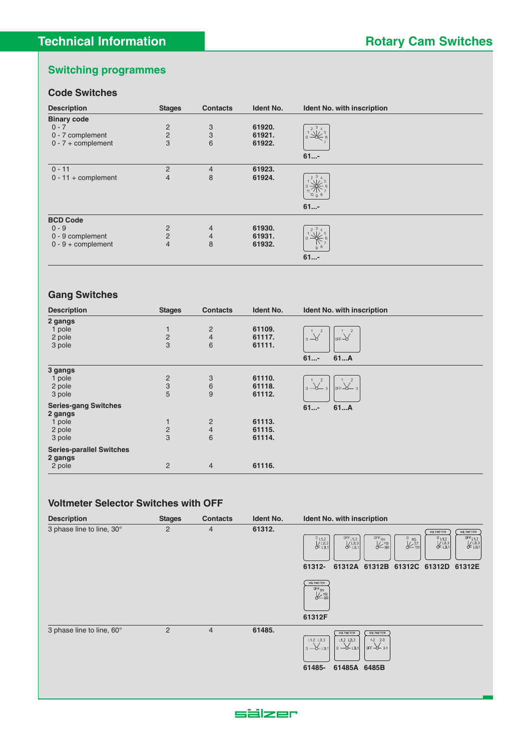#### **Code Switches**

| <b>Description</b>    | <b>Stages</b>  | <b>Contacts</b> | <b>Ident No.</b> | Ident No. with inscription       |
|-----------------------|----------------|-----------------|------------------|----------------------------------|
| <b>Binary code</b>    |                |                 |                  |                                  |
| $0 - 7$               |                | 3               | 61920.           | 3 <sub>4</sub><br>$\overline{2}$ |
| 0 - 7 complement      | $\frac{2}{2}$  | 3               | 61921.           |                                  |
| $0 - 7 +$ complement  | 3              | 6               | 61922.           |                                  |
|                       |                |                 |                  | $61$ -                           |
| $0 - 11$              | $\overline{2}$ | 4               | 61923.           |                                  |
| $0 - 11 +$ complement | $\overline{4}$ | 8               | 61924.           | 3 <sub>4</sub><br>$10^{9}$ 8     |
|                       |                |                 |                  | $61$ -                           |
| <b>BCD Code</b>       |                |                 |                  |                                  |
| $0 - 9$               | 2              | $\overline{4}$  | 61930.           | 3 <sub>4</sub>                   |
| 0 - 9 complement      | $\overline{2}$ | $\overline{4}$  | 61931.           |                                  |
| $0 - 9 +$ complement  | $\overline{4}$ | 8               | 61932.           | 8<br>9                           |
|                       |                |                 |                  | $61$ -                           |

#### **Gang Switches**

| <b>Description</b>                         | <b>Stages</b>                                    | <b>Contacts</b>         | <b>Ident No.</b> | <b>Ident No. with inscription</b>    |
|--------------------------------------------|--------------------------------------------------|-------------------------|------------------|--------------------------------------|
| 2 gangs                                    |                                                  |                         |                  |                                      |
| 1 pole                                     | $\mathbf{1}$                                     | $\overline{c}$          | 61109.           |                                      |
| 2 pole                                     | $\frac{2}{3}$                                    | $\overline{4}$          | 61117.           | $\circ \rightarrow$<br>$or F-\alpha$ |
| 3 pole                                     |                                                  | 6                       | 61111.           |                                      |
|                                            |                                                  |                         |                  | 61A<br>$61$ -                        |
| 3 gangs                                    |                                                  |                         |                  |                                      |
| 1 pole                                     |                                                  | 3                       | 61110.           |                                      |
| 2 pole                                     | $\begin{array}{c}\n 2 \\  3 \\  5\n \end{array}$ | 6                       | 61118.           | $or F - 3$<br>$-3+$                  |
| 3 pole                                     |                                                  | 9                       | 61112.           |                                      |
| <b>Series-gang Switches</b><br>2 gangs     |                                                  |                         |                  | $61$ -<br>61A                        |
| 1 pole                                     | 1                                                | $\overline{\mathbf{c}}$ | 61113.           |                                      |
| 2 pole                                     | $\frac{2}{3}$                                    | $\overline{4}$          | 61115.           |                                      |
| 3 pole                                     |                                                  | 6                       | 61114.           |                                      |
| <b>Series-parallel Switches</b><br>2 gangs |                                                  |                         |                  |                                      |
| 2 pole                                     | $\overline{2}$                                   | $\overline{4}$          | 61116.           |                                      |

#### **Voltmeter Selector Switches with OFF**

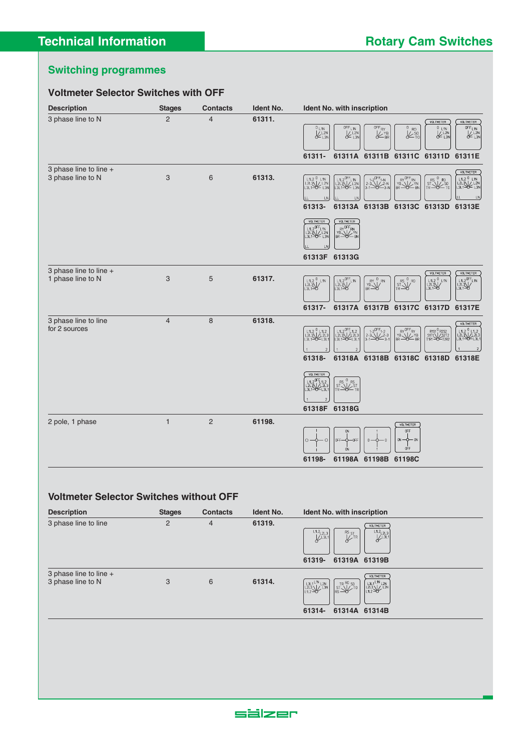#### **Voltmeter Selector Switches with OFF Description Stages Contacts Ident No. Ident No. with inscription** 3 phase line to N 2 4 61311.  $\begin{array}{c}\n\sqrt{0.1 \text{METER}} \\
\begin{array}{c}\n0 \text{FF} \\
\downarrow 1 \text{N} \\
\hline\n\end{array}\n\end{array}$ **VOLTMETER**  $\overline{\mathscr{C}^{\text{FF}}_{\text{RY}}}$  $\overline{\underset{\text{SVD}}{\overset{0}{\text{R0}}}}$  $V = V$  $\frac{0}{k}$   $\frac{1}{2N}$ OFF<sub>L1N</sub><br>KL<sub>2N</sub> **61311- 61311A 61311B 61311C 61311D 61311E** 3 phase line to line + **VOLTMETER** 3 phase line to N 3 6 61313. L1N<br>L2M LN LN lυ **61313- 61313A 61313B 61313C 61313D 61313E**  $\begin{array}{c}\n\sqrt{R} \sqrt{OFF} R N \\
\hline\n\gamma B \sqrt{V} N N \\
\hline\nBR \sqrt{H} N N N\n\end{array}$  $($  VOLTMETER | L1L2<sup>0FF</sup>L1N<br>|L2L3\|/ L2N<br>|| 3| 1 N/ | 1 3| **61313F 61313G**  $\overline{3}$  phase line to line +  $($  valimeter VOLTMETER 1 phase line to N 3 5 61317. L<sub>1</sub> **61317- 61317A 61317B 61317C 61317D 61317E** 3 phase line to line 4 8 **61318.** VOLTMETER for 2 sources  $2-3$ <br> $2-3$ <br> $2-3$ | L1L2<sup>0FF</sup>L1L2<br>| L2L3\|/L2L3<br>| L3L1=0= L3L1  $\begin{array}{|c|c|c|c|}\n\hline\nL1L2 & L1L2 \\
L2L3 & & L2L3 \\
\hline\n13 & 1 & 3 & 3\n\end{array}$ R151 <sup>0</sup> R2S2<br>S1T1\\/ S2T2<br>T1R1 - C2=T2R2  $\begin{array}{c} \begin{array}{c} \text{L1L2} \\ \text{L2L3} \end{array} \\ \begin{array}{c} \text{L1L2} \\ \text{L2L3} \end{array} \\ \begin{array}{c} \text{L2L3} \\ \text{L3L4} \end{array} \end{array}$ RY<sup>UFF</sup>RY<br>BR<del>AZ</del>YB **61318- 61318A 61318B 61318C 61318D 61318E** VOLTMETER ₩ **61318F 61318G** 2 pole, 1 phase 1 2 **61198.** (VOLTMETER) **61198- 61198A 61198B 61198C**

#### **Voltmeter Selector Switches without OFF**

| <b>Description</b>                          | <b>Stages</b>  | <b>Contacts</b> | <b>Ident No.</b> | <b>Ident No. with inscription</b>                                                                                                                                                                                                                                                                                                              |
|---------------------------------------------|----------------|-----------------|------------------|------------------------------------------------------------------------------------------------------------------------------------------------------------------------------------------------------------------------------------------------------------------------------------------------------------------------------------------------|
| 3 phase line to line                        | $\overline{2}$ | 4               | 61319.           | <b>VOLTMETER</b><br>$x^{11.2}$<br>$x^{13.1}$<br>$L1.2L21$<br>$L2L3L1$<br>$RS_{ST}$<br>$\cancel{\sqrt{}}$ TR<br>61319A 61319B<br>61319-                                                                                                                                                                                                         |
| 3 phase line to line +<br>3 phase line to N | 3              | 6               | 61314.           | <b>VOLTMETER</b><br>$\begin{bmatrix} 1.311^{L1N} & 1.2N \\ 1.213 & 1.3N \\ 1.112 & 1.3N \end{bmatrix}$<br>$ST< /T$<br>$\begin{array}{ c c }\n\hline\n\text{L3L1} & \text{L1N} & \text{L2N} \\ \text{L2L3} & \text{L3N} & \text{L3N} \\ \hline\n\text{L1L2} & \text{L3N}\n\end{array}$<br>$_{\rm IRS}$ $\rightarrow$<br>61314A 61314B<br>61314- |

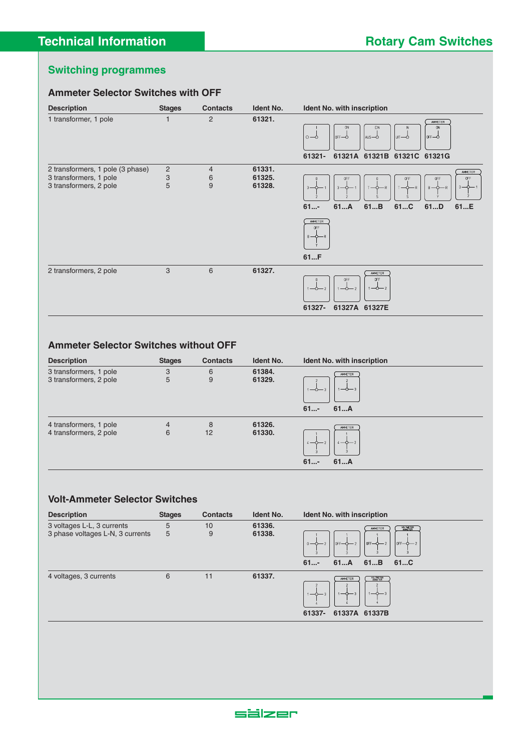#### **Ammeter Selector Switches with OFF**



#### **Ammeter Selector Switches without OFF**

| <b>Description</b>                               | <b>Stages</b>       | <b>Contacts</b> | <b>Ident No.</b> | Ident No. with inscription                             |
|--------------------------------------------------|---------------------|-----------------|------------------|--------------------------------------------------------|
| 3 transformers, 1 pole<br>3 transformers, 2 pole | 3<br>5              | 6<br>9          | 61384.<br>61329. | AMMETER<br>$1 - 0 - 3$<br>1-0-3<br>$61$ -<br>61A       |
| 4 transformers, 1 pole<br>4 transformers, 2 pole | $\overline{4}$<br>6 | 8<br>12         | 61326.<br>61330. | AMMETER<br>$4 - 0 - 2$<br>$4 - 0 - 2$<br>$61$ -<br>61A |

#### **Volt-Ammeter Selector Switches**

| <b>Description</b>               | <b>Stages</b> | <b>Contacts</b> | <b>Ident No.</b> | <b>Ident No. with inscription</b>                                                                     |
|----------------------------------|---------------|-----------------|------------------|-------------------------------------------------------------------------------------------------------|
| 3 voltages L-L, 3 currents       | 5             | 10              | 61336.           | <b>VOLTMETER</b><br>AMMETER                                                                           |
| 3 phase voltages L-N, 3 currents | 5             | 9               | 61338.           | $ \text{OFF}$ $\rightarrow$ 2<br>$0FF - 2$<br>$0FF-0-2$<br>$0 - 0 - 2$<br>$61$ -<br>61A<br>61B<br>61C |
| 4 voltages, 3 currents           | 6             | 11              | 61337.           | <b>VOLTMETER</b><br>AMMETER<br>$1-\Delta-3$<br>61337-<br>61337A 61337B                                |

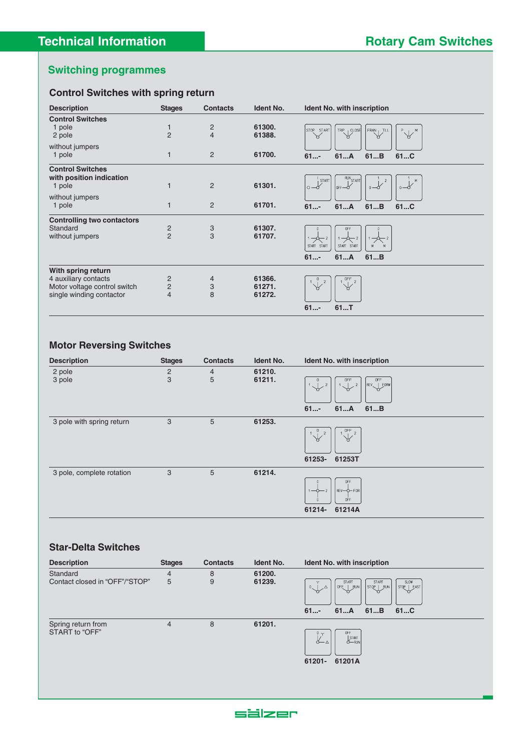## **Control Switches with spring return**

| <b>Description</b>                | <b>Stages</b>  | <b>Contacts</b> | <b>Ident No.</b> | <b>Ident No. with inscription</b>                                     |
|-----------------------------------|----------------|-----------------|------------------|-----------------------------------------------------------------------|
| <b>Control Switches</b>           |                |                 |                  |                                                                       |
| 1 pole                            | $\mathbf{1}$   | $\overline{c}$  | 61300.           | STOP START<br>TRIP<br>CLOSE<br>FRAN , TILL                            |
| 2 pole                            | $\overline{2}$ | $\overline{4}$  | 61388.           | $P_{\sim 1}$ M<br>Ж<br>ᠷ<br>Ж<br>ж                                    |
| without jumpers                   |                |                 |                  |                                                                       |
| 1 pole                            | 1              | 2               | 61700.           | 61A<br>61B<br>$61$ -<br>61C                                           |
|                                   |                |                 |                  |                                                                       |
| <b>Control Switches</b>           |                |                 |                  |                                                                       |
| with position indication          |                |                 |                  | RUN <sub>START</sub><br>START                                         |
| 1 pole                            | 1              | $\overline{2}$  | 61301.           | $\circ -\circ$<br>$0 - \sigma$<br>$I$ OFF $\rightarrow$<br>$0 - 0$    |
| without jumpers                   |                |                 |                  |                                                                       |
| 1 pole                            | 1              | $\overline{2}$  | 61701.           | $61$ -<br>61A<br>61B<br>61C                                           |
|                                   |                |                 |                  |                                                                       |
| <b>Controlling two contactors</b> |                |                 |                  |                                                                       |
| Standard                          | $\overline{c}$ |                 | 61307.           | <b>OFF</b>                                                            |
| without jumpers                   | $\overline{2}$ | $\frac{3}{3}$   | 61707.           | $1 - 2 - 2$<br>$\rightarrow$ 2                                        |
|                                   |                |                 |                  | START START<br>START START<br>M                                       |
|                                   |                |                 |                  | $61$ -<br>61A<br>61B                                                  |
| With spring return                |                |                 |                  |                                                                       |
| 4 auxiliary contacts              | 2              | 4               | 61366.           | $\frac{\text{OFF}}{\frac{1}{2}}$ 2<br>$1\frac{0}{\sqrt{1}}$<br>$^{2}$ |
| Motor voltage control switch      | $\overline{2}$ | 3               | 61271.           | ₩                                                                     |
| single winding contactor          | $\overline{4}$ | 8               | 61272.           |                                                                       |
|                                   |                |                 |                  |                                                                       |
|                                   |                |                 |                  | 61T<br>$61$ -                                                         |

## **Motor Reversing Switches**

| <b>Description</b>        | <b>Stages</b>       | <b>Contacts</b> | Ident No.        | Ident No. with inscription                                                                                  |
|---------------------------|---------------------|-----------------|------------------|-------------------------------------------------------------------------------------------------------------|
| 2 pole<br>3 pole          | $\overline{c}$<br>3 | 4<br>5          | 61210.<br>61211. | <b>OFF</b><br>OFF<br>0<br>$\frac{1}{2}$<br>REV FORW<br>$\overline{2}$<br>$1 -$<br>r<br>61A<br>$61$ -<br>61B |
| 3 pole with spring return | 3                   | 5               | 61253.           | $\overline{OFF}$ 2<br>$\overline{0}$<br>2<br>$\forall$<br>ж<br>61253-<br>61253T                             |
| 3 pole, complete rotation | 3                   | 5               | 61214.           | 0FF<br>REV-O-FOR<br>$1 - 0 - 2$<br>0FF<br>61214-<br>61214A                                                  |

#### **Star-Delta Switches**

| <b>Description</b>                         | <b>Stages</b>  | <b>Contacts</b> | <b>Ident No.</b> | Ident No. with inscription                                                                                                                  |
|--------------------------------------------|----------------|-----------------|------------------|---------------------------------------------------------------------------------------------------------------------------------------------|
| Standard<br>Contact closed in "OFF"/"STOP" | 4<br>5         | 8<br>9          | 61200.<br>61239. | START<br>START<br>SLOW<br>OFF  <br><b>RUN</b><br>STQP<br><b>RUN</b><br>STOP   FAST<br>$\rightarrow$<br>$\Delta$<br>61A 61B<br>$61$ -<br>61C |
| Spring return from<br>START to "OFF"       | $\overline{4}$ | 8               | 61201.           | <b>OFF</b><br>$0 \sim$<br>$\sum_{\text{N}}^{\text{START}}$<br>$\alpha-\Delta$<br>61201A<br>61201-                                           |